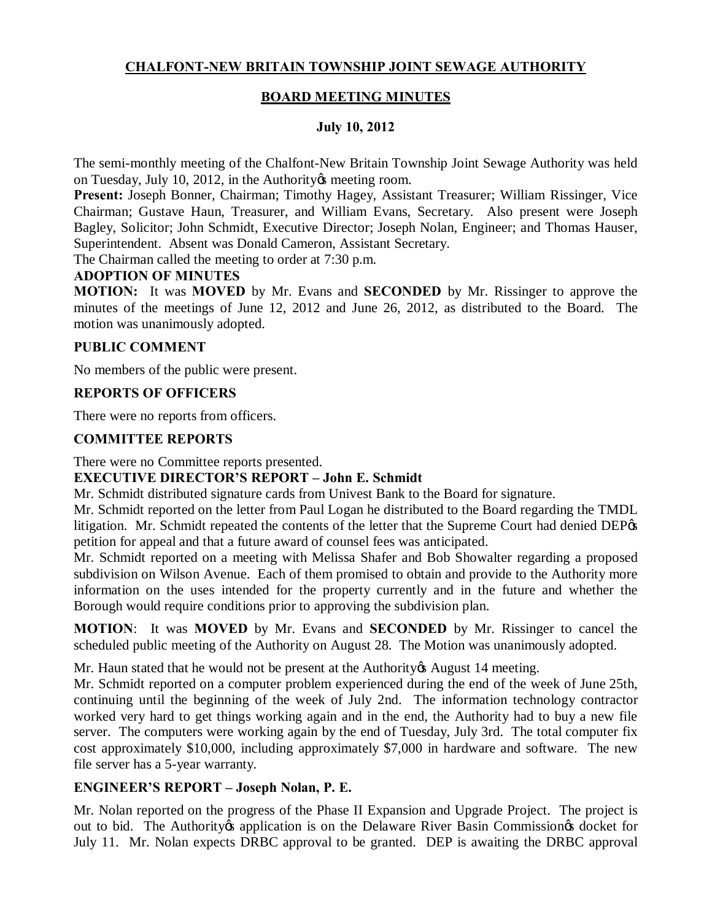# **CHALFONT-NEW BRITAIN TOWNSHIP JOINT SEWAGE AUTHORITY**

## **BOARD MEETING MINUTES**

## **July 10, 2012**

The semi-monthly meeting of the Chalfont-New Britain Township Joint Sewage Authority was held on Tuesday, July 10, 2012, in the Authority & meeting room.

**Present:** Joseph Bonner, Chairman; Timothy Hagey, Assistant Treasurer; William Rissinger, Vice Chairman; Gustave Haun, Treasurer, and William Evans, Secretary. Also present were Joseph Bagley, Solicitor; John Schmidt, Executive Director; Joseph Nolan, Engineer; and Thomas Hauser, Superintendent. Absent was Donald Cameron, Assistant Secretary.

The Chairman called the meeting to order at 7:30 p.m.

#### **ADOPTION OF MINUTES**

**MOTION:** It was **MOVED** by Mr. Evans and **SECONDED** by Mr. Rissinger to approve the minutes of the meetings of June 12, 2012 and June 26, 2012, as distributed to the Board. The motion was unanimously adopted.

#### **PUBLIC COMMENT**

No members of the public were present.

#### **REPORTS OF OFFICERS**

There were no reports from officers.

#### **COMMITTEE REPORTS**

There were no Committee reports presented.

#### **EXECUTIVE DIRECTOR'S REPORT – John E. Schmidt**

Mr. Schmidt distributed signature cards from Univest Bank to the Board for signature.

Mr. Schmidt reported on the letter from Paul Logan he distributed to the Board regarding the TMDL litigation. Mr. Schmidt repeated the contents of the letter that the Supreme Court had denied DEP $\alpha$ petition for appeal and that a future award of counsel fees was anticipated.

Mr. Schmidt reported on a meeting with Melissa Shafer and Bob Showalter regarding a proposed subdivision on Wilson Avenue. Each of them promised to obtain and provide to the Authority more information on the uses intended for the property currently and in the future and whether the Borough would require conditions prior to approving the subdivision plan.

**MOTION**: It was **MOVED** by Mr. Evans and **SECONDED** by Mr. Rissinger to cancel the scheduled public meeting of the Authority on August 28. The Motion was unanimously adopted.

Mr. Haun stated that he would not be present at the Authority is August 14 meeting.

Mr. Schmidt reported on a computer problem experienced during the end of the week of June 25th, continuing until the beginning of the week of July 2nd. The information technology contractor worked very hard to get things working again and in the end, the Authority had to buy a new file server. The computers were working again by the end of Tuesday, July 3rd. The total computer fix cost approximately \$10,000, including approximately \$7,000 in hardware and software. The new file server has a 5-year warranty.

## **ENGINEER'S REPORT – Joseph Nolan, P. E.**

Mr. Nolan reported on the progress of the Phase II Expansion and Upgrade Project. The project is out to bid. The Authority the application is on the Delaware River Basin Commission to docket for July 11. Mr. Nolan expects DRBC approval to be granted. DEP is awaiting the DRBC approval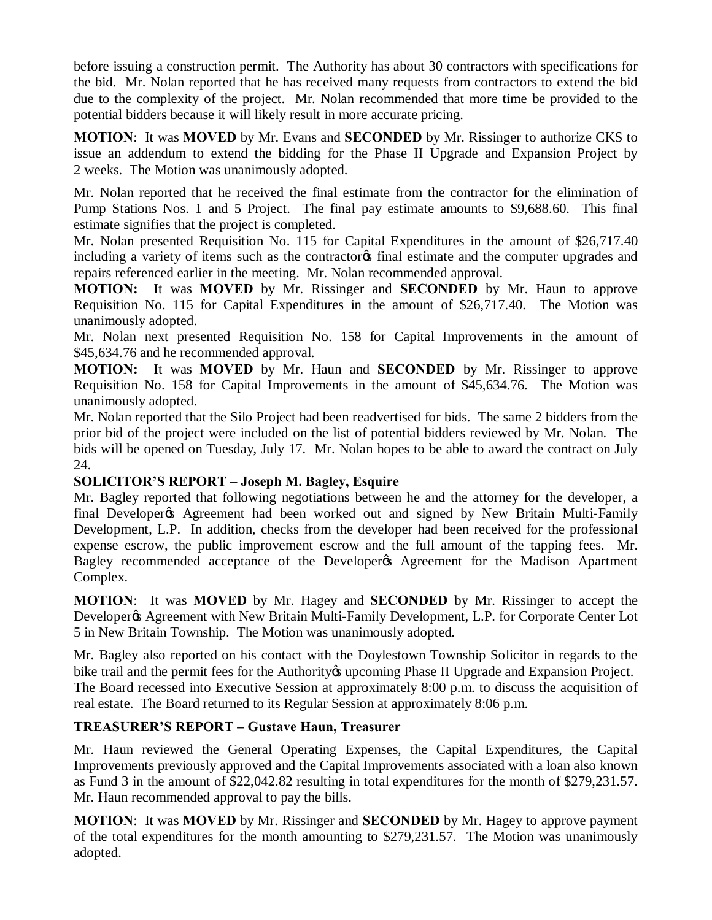before issuing a construction permit. The Authority has about 30 contractors with specifications for the bid. Mr. Nolan reported that he has received many requests from contractors to extend the bid due to the complexity of the project. Mr. Nolan recommended that more time be provided to the potential bidders because it will likely result in more accurate pricing.

**MOTION**: It was **MOVED** by Mr. Evans and **SECONDED** by Mr. Rissinger to authorize CKS to issue an addendum to extend the bidding for the Phase II Upgrade and Expansion Project by 2 weeks. The Motion was unanimously adopted.

Mr. Nolan reported that he received the final estimate from the contractor for the elimination of Pump Stations Nos. 1 and 5 Project. The final pay estimate amounts to \$9,688.60. This final estimate signifies that the project is completed.

Mr. Nolan presented Requisition No. 115 for Capital Expenditures in the amount of \$26,717.40 including a variety of items such as the contractor of final estimate and the computer upgrades and repairs referenced earlier in the meeting. Mr. Nolan recommended approval.

**MOTION:** It was **MOVED** by Mr. Rissinger and **SECONDED** by Mr. Haun to approve Requisition No. 115 for Capital Expenditures in the amount of \$26,717.40. The Motion was unanimously adopted.

Mr. Nolan next presented Requisition No. 158 for Capital Improvements in the amount of \$45,634.76 and he recommended approval.

**MOTION:** It was **MOVED** by Mr. Haun and **SECONDED** by Mr. Rissinger to approve Requisition No. 158 for Capital Improvements in the amount of \$45,634.76. The Motion was unanimously adopted.

Mr. Nolan reported that the Silo Project had been readvertised for bids. The same 2 bidders from the prior bid of the project were included on the list of potential bidders reviewed by Mr. Nolan. The bids will be opened on Tuesday, July 17. Mr. Nolan hopes to be able to award the contract on July 24.

# **SOLICITOR'S REPORT – Joseph M. Bagley, Esquire**

Mr. Bagley reported that following negotiations between he and the attorney for the developer, a final Developer ts Agreement had been worked out and signed by New Britain Multi-Family Development, L.P. In addition, checks from the developer had been received for the professional expense escrow, the public improvement escrow and the full amount of the tapping fees. Mr. Bagley recommended acceptance of the Developer & Agreement for the Madison Apartment Complex.

**MOTION**: It was **MOVED** by Mr. Hagey and **SECONDED** by Mr. Rissinger to accept the Developer & Agreement with New Britain Multi-Family Development, L.P. for Corporate Center Lot 5 in New Britain Township. The Motion was unanimously adopted.

Mr. Bagley also reported on his contact with the Doylestown Township Solicitor in regards to the bike trail and the permit fees for the Authority to upcoming Phase II Upgrade and Expansion Project. The Board recessed into Executive Session at approximately 8:00 p.m. to discuss the acquisition of real estate. The Board returned to its Regular Session at approximately 8:06 p.m.

## **TREASURER'S REPORT – Gustave Haun, Treasurer**

Mr. Haun reviewed the General Operating Expenses, the Capital Expenditures, the Capital Improvements previously approved and the Capital Improvements associated with a loan also known as Fund 3 in the amount of \$22,042.82 resulting in total expenditures for the month of \$279,231.57. Mr. Haun recommended approval to pay the bills.

**MOTION**: It was **MOVED** by Mr. Rissinger and **SECONDED** by Mr. Hagey to approve payment of the total expenditures for the month amounting to \$279,231.57. The Motion was unanimously adopted.